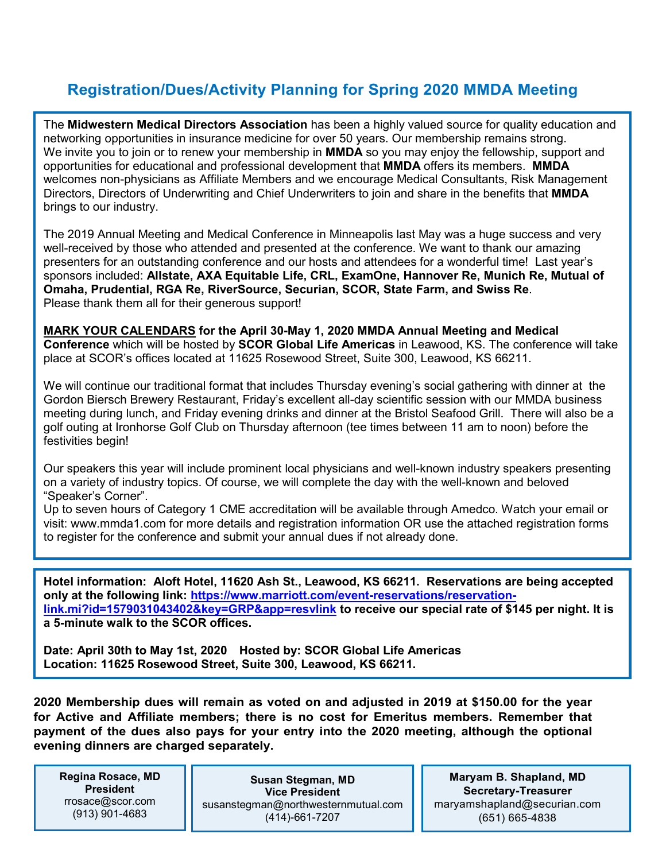## **Registration/Dues/Activity Planning for Spring 2020 MMDA Meeting**

The **Midwestern Medical Directors Association** has been a highly valued source for quality education and networking opportunities in insurance medicine for over 50 years. Our membership remains strong. We invite you to join or to renew your membership in **MMDA** so you may enjoy the fellowship, support and opportunities for educational and professional development that **MMDA** offers its members. **MMDA** welcomes non-physicians as Affiliate Members and we encourage Medical Consultants, Risk Management Directors, Directors of Underwriting and Chief Underwriters to join and share in the benefits that **MMDA**  brings to our industry.

The 2019 Annual Meeting and Medical Conference in Minneapolis last May was a huge success and very well-received by those who attended and presented at the conference. We want to thank our amazing presenters for an outstanding conference and our hosts and attendees for a wonderful time! Last year's sponsors included: **Allstate, AXA Equitable Life, CRL, ExamOne, Hannover Re, Munich Re, Mutual of Omaha, Prudential, RGA Re, RiverSource, Securian, SCOR, State Farm, and Swiss Re**. Please thank them all for their generous support!

**MARK YOUR CALENDARS for the April 30-May 1, 2020 MMDA Annual Meeting and Medical Conference** which will be hosted by **SCOR Global Life Americas** in Leawood, KS. The conference will take place at SCOR's offices located at 11625 Rosewood Street, Suite 300, Leawood, KS 66211.

We will continue our traditional format that includes Thursday evening's social gathering with dinner at the Gordon Biersch Brewery Restaurant, Friday's excellent all-day scientific session with our MMDA business meeting during lunch, and Friday evening drinks and dinner at the Bristol Seafood Grill. There will also be a golf outing at Ironhorse Golf Club on Thursday afternoon (tee times between 11 am to noon) before the festivities begin!

Our speakers this year will include prominent local physicians and well-known industry speakers presenting on a variety of industry topics. Of course, we will complete the day with the well-known and beloved "Speaker's Corner".

Up to seven hours of Category 1 CME accreditation will be available through Amedco. Watch your email or visit: www.mmda1.com for more details and registration information OR use the attached registration forms to register for the conference and submit your annual dues if not already done.

**Hotel information: Aloft Hotel, 11620 Ash St., Leawood, KS 66211. Reservations are being accepted only at the following link: [https://www.marriott.com/event-reservations/reservation](https://www.marriott.com/event-reservations/reservation-link.mi?id=1579031043402&key=GRP&app=resvlink)[link.mi?id=1579031043402&key=GRP&app=resvlink](https://www.marriott.com/event-reservations/reservation-link.mi?id=1579031043402&key=GRP&app=resvlink) to receive our special rate of \$145 per night. It is a 5-minute walk to the SCOR offices.**

**Date: April 30th to May 1st, 2020 Hosted by: SCOR Global Life Americas Location: 11625 Rosewood Street, Suite 300, Leawood, KS 66211.**

**2020 Membership dues will remain as voted on and adjusted in 2019 at \$150.00 for the year for Active and Affiliate members; there is no cost for Emeritus members. Remember that payment of the dues also pays for your entry into the 2020 meeting, although the optional evening dinners are charged separately.**

**Regina Rosace, MD President** rrosace@scor.com (913) 901-4683

**Susan Stegman, MD Vice President** susanstegman@northwesternmutual.com (414)-661-7207

**Maryam B. Shapland, MD Secretary-Treasurer** maryamshapland@securian.com (651) 665-4838